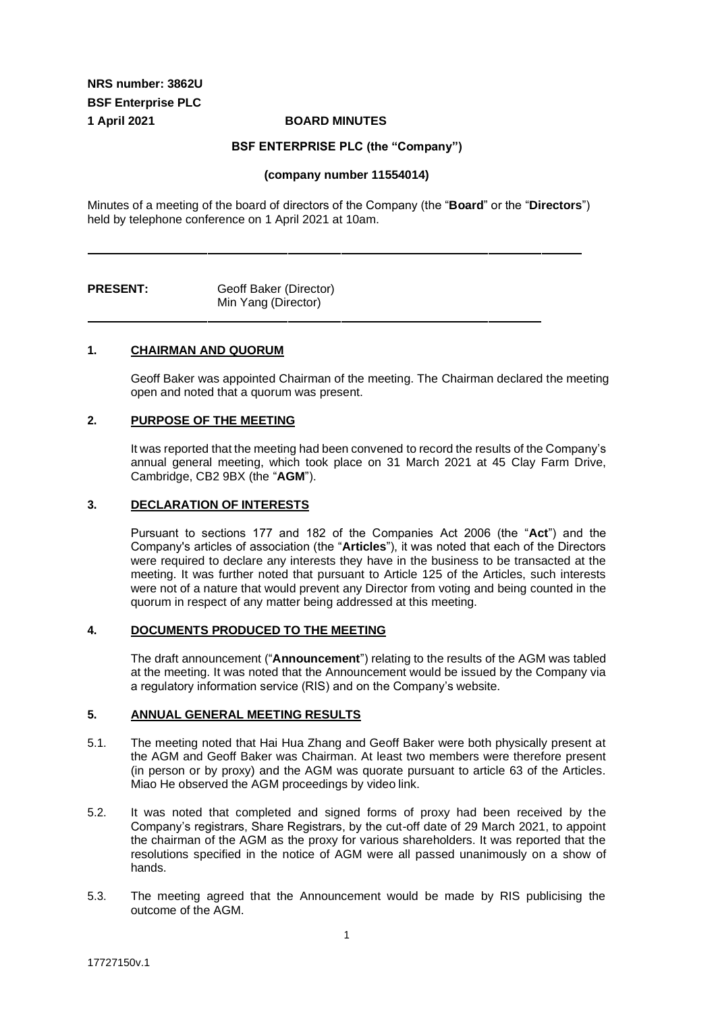**NRS number: 3862U BSF Enterprise PLC 1 April 2021 BOARD MINUTES**

**BSF ENTERPRISE PLC (the "Company")** 

#### **(company number 11554014)**

Minutes of a meeting of the board of directors of the Company (the "**Board**" or the "**Directors**") held by telephone conference on 1 April 2021 at 10am.

| <b>PRESENT:</b> | Geoff Baker (Director) |
|-----------------|------------------------|
|                 | Min Yang (Director)    |

#### **1. CHAIRMAN AND QUORUM**

Geoff Baker was appointed Chairman of the meeting. The Chairman declared the meeting open and noted that a quorum was present.

## **2. PURPOSE OF THE MEETING**

It was reported that the meeting had been convened to record the results of the Company's annual general meeting, which took place on 31 March 2021 at 45 Clay Farm Drive, Cambridge, CB2 9BX (the "**AGM**").

#### **3. DECLARATION OF INTERESTS**

Pursuant to sections 177 and 182 of the Companies Act 2006 (the "**Act**") and the Company's articles of association (the "**Articles**"), it was noted that each of the Directors were required to declare any interests they have in the business to be transacted at the meeting. It was further noted that pursuant to Article 125 of the Articles, such interests were not of a nature that would prevent any Director from voting and being counted in the quorum in respect of any matter being addressed at this meeting.

#### **4. DOCUMENTS PRODUCED TO THE MEETING**

The draft announcement ("**Announcement**") relating to the results of the AGM was tabled at the meeting. It was noted that the Announcement would be issued by the Company via a regulatory information service (RIS) and on the Company's website.

### **5. ANNUAL GENERAL MEETING RESULTS**

- 5.1. The meeting noted that Hai Hua Zhang and Geoff Baker were both physically present at the AGM and Geoff Baker was Chairman. At least two members were therefore present (in person or by proxy) and the AGM was quorate pursuant to article 63 of the Articles. Miao He observed the AGM proceedings by video link.
- 5.2. It was noted that completed and signed forms of proxy had been received by the Company's registrars, Share Registrars, by the cut-off date of 29 March 2021, to appoint the chairman of the AGM as the proxy for various shareholders. It was reported that the resolutions specified in the notice of AGM were all passed unanimously on a show of hands.
- 5.3. The meeting agreed that the Announcement would be made by RIS publicising the outcome of the AGM.